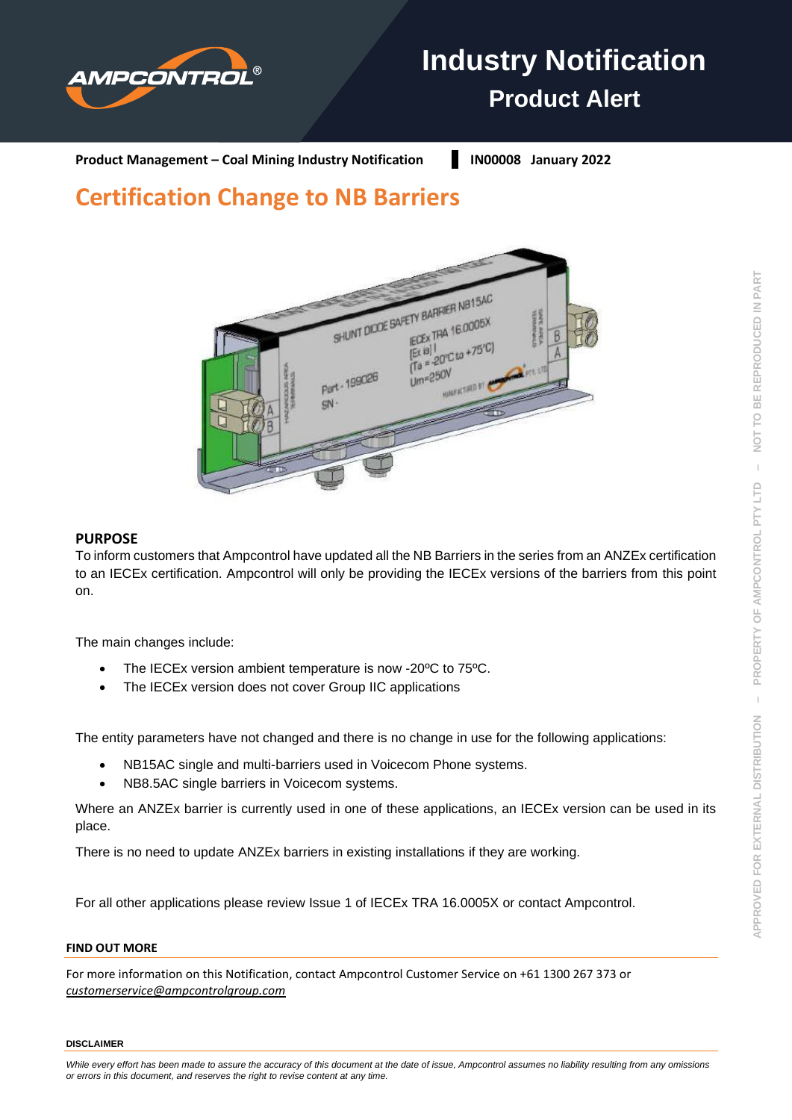

# **Industry Notification Product Alert**

**Product Management – Coal Mining Industry Notification | IN00008 January 2022** 

# **Certification Change to NB Barriers**



# **PURPOSE**

To inform customers that Ampcontrol have updated all the NB Barriers in the series from an ANZEx certification to an IECEx certification. Ampcontrol will only be providing the IECEx versions of the barriers from this point on.

The main changes include:

- The IECEx version ambient temperature is now -20°C to 75°C.
- The IECEx version does not cover Group IIC applications

The entity parameters have not changed and there is no change in use for the following applications:

- NB15AC single and multi-barriers used in Voicecom Phone systems.
- NB8.5AC single barriers in Voicecom systems.

*or errors in this document, and reserves the right to revise content at any time.*

Where an ANZEx barrier is currently used in one of these applications, an IECEx version can be used in its place.

There is no need to update ANZEx barriers in existing installations if they are working.

For all other applications please review Issue 1 of IECEx TRA 16.0005X or contact Ampcontrol.

#### **FIND OUT MORE**

For more information on this Notification, contact Ampcontrol Customer Service on +61 1300 267 373 or *[customerservice@ampcontrolgroup.com](mailto:customerservice@ampcontrolgroup.com)*

#### **DISCLAIMER**

NOT TO BE REPRODUCED IN PART

 $\bar{1}$ 

PROPERTY OF AMPCONTROL PTY LTD

 $\bar{1}$